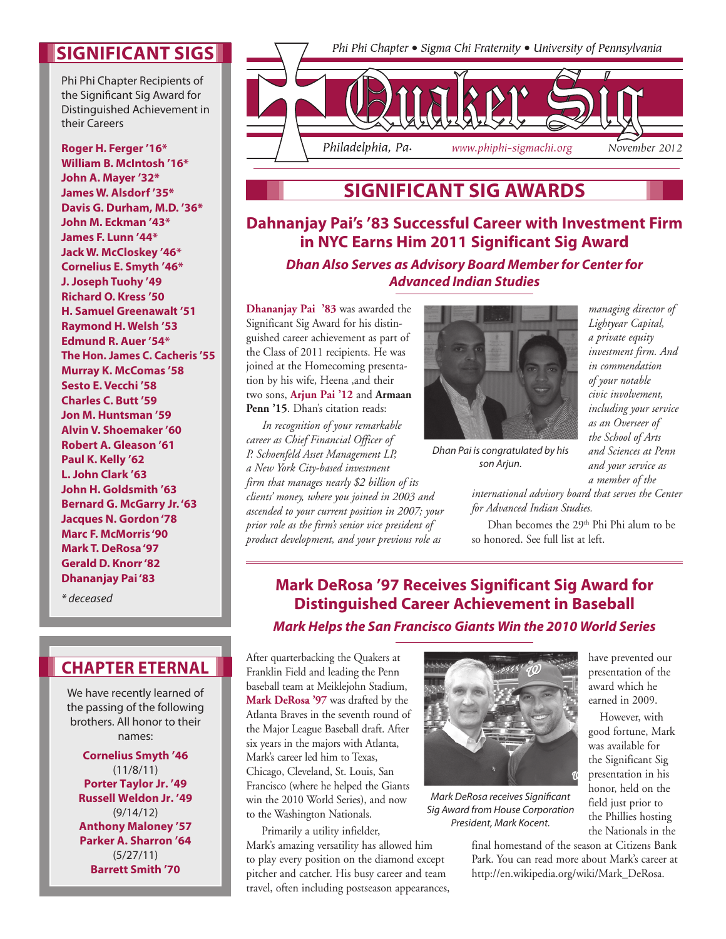## **Significant sigs**

Phi Phi Chapter Recipients of the Significant Sig Award for Distinguished Achievement in their Careers

**Roger H. Ferger '16\* William B. McIntosh '16\* John A. Mayer '32\* James W. Alsdorf '35\* Davis G. Durham, M.D. '36\* John M. Eckman '43\* James F. Lunn '44\* Jack W. McCloskey '46\* Cornelius E. Smyth '46\* J. Joseph Tuohy '49 Richard O. Kress '50 H. Samuel Greenawalt '51 Raymond H. Welsh '53 Edmund R. Auer '54\* The Hon. James C. Cacheris '55 Murray K. McComas '58 Sesto E. Vecchi '58 Charles C. Butt '59 Jon M. Huntsman '59 Alvin V. Shoemaker '60 Robert A. Gleason '61 Paul K. Kelly '62 L. John Clark '63 John H. Goldsmith '63 Bernard G. McGarry Jr. '63 Jacques N. Gordon '78 Marc F. McMorris '90 Mark T. DeRosa '97 Gerald D. Knorr '82 Dhananjay Pai '83**

*\* deceased*

### **Chapter Eternal**

We have recently learned of the passing of the following brothers. All honor to their names:

**Cornelius Smyth '46**  (11/8/11) **Porter Taylor Jr. '49 Russell Weldon Jr. '49**  (9/14/12) **Anthony Maloney '57 Parker A. Sharron '64** (5/27/11) **Barrett Smith '70**

Phi Phi Chapter • Sigma Chi Fraternity • University of Pennsylvania



# **Significant Sig Awards**

**Dahnanjay Pai's '83 Successful Career with Investment Firm in NYC Earns Him 2011 Significant Sig Award**

*Dhan Also Serves as Advisory Board Member for Center for Advanced Indian Studies*

**Dhananjay Pai '83** was awarded the Significant Sig Award for his distinguished career achievement as part of the Class of 2011 recipients. He was joined at the Homecoming presentation by his wife, Heena ,and their two sons, **Arjun Pai '12** and **Armaan**  Penn '15. Dhan's citation reads:

*In recognition of your remarkable career as Chief Financial Officer of P. Schoenfeld Asset Management LP, a New York City-based investment firm that manages nearly \$2 billion of its clients' money, where you joined in 2003 and ascended to your current position in 2007; your prior role as the firm's senior vice president of product development, and your previous role as* 



*Dhan Pai is congratulated by his son Arjun.*

*managing director of Lightyear Capital, a private equity investment firm. And in commendation of your notable civic involvement, including your service as an Overseer of the School of Arts and Sciences at Penn and your service as a member of the* 

*international advisory board that serves the Center for Advanced Indian Studies.*

Dhan becomes the 29<sup>th</sup> Phi Phi alum to be so honored. See full list at left.

### **Mark DeRosa '97 Receives Significant Sig Award for Distinguished Career Achievement in Baseball** *Mark Helps the San Francisco Giants Win the 2010 World Series*

After quarterbacking the Quakers at Franklin Field and leading the Penn baseball team at Meiklejohn Stadium, **Mark DeRosa '97** was drafted by the Atlanta Braves in the seventh round of the Major League Baseball draft. After six years in the majors with Atlanta, Mark's career led him to Texas, Chicago, Cleveland, St. Louis, San Francisco (where he helped the Giants win the 2010 World Series), and now to the Washington Nationals.

 Primarily a utility infielder, Mark's amazing versatility has allowed him to play every position on the diamond except pitcher and catcher. His busy career and team travel, often including postseason appearances,



*Mark DeRosa receives Significant Sig Award from House Corporation President, Mark Kocent.*

have prevented our presentation of the award which he earned in 2009.

However, with good fortune, Mark was available for the Significant Sig presentation in his honor, held on the field just prior to the Phillies hosting the Nationals in the

final homestand of the season at Citizens Bank Park. You can read more about Mark's career at http://en.wikipedia.org/wiki/Mark\_DeRosa.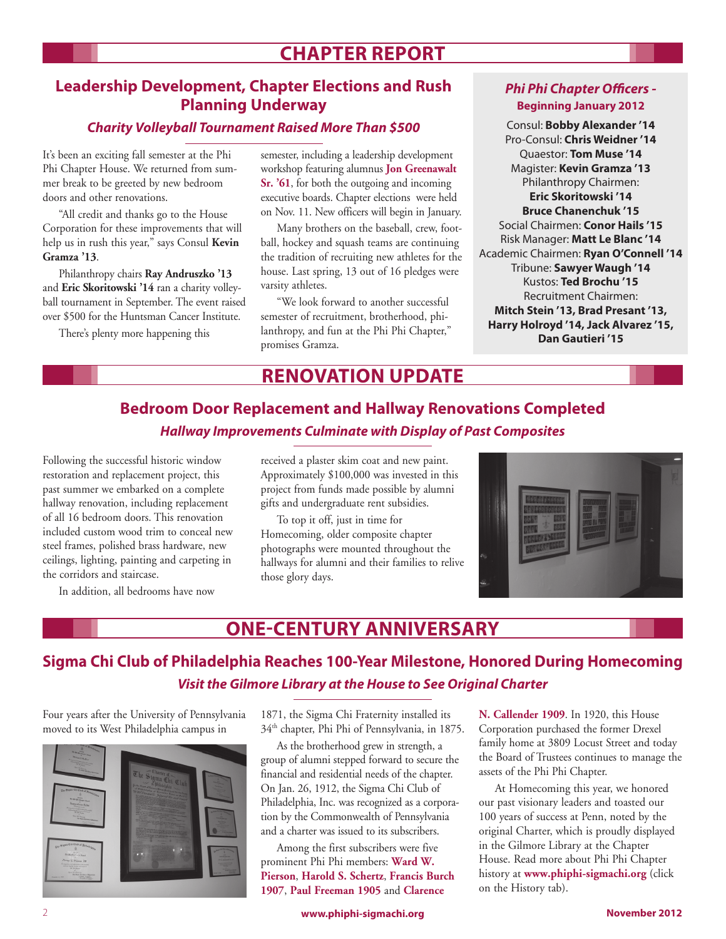# **Chapter Report**

### **Leadership Development, Chapter Elections and Rush Planning Underway**

### *Charity Volleyball Tournament Raised More Than \$500*

It's been an exciting fall semester at the Phi Phi Chapter House. We returned from summer break to be greeted by new bedroom doors and other renovations.

"All credit and thanks go to the House Corporation for these improvements that will help us in rush this year," says Consul **Kevin Gramza '13**.

Philanthropy chairs **Ray Andruszko '13** and **Eric Skoritowski '14** ran a charity volleyball tournament in September. The event raised over \$500 for the Huntsman Cancer Institute.

There's plenty more happening this

semester, including a leadership development workshop featuring alumnus **Jon Greenawalt Sr. '61**, for both the outgoing and incoming executive boards. Chapter elections were held on Nov. 11. New officers will begin in January.

Many brothers on the baseball, crew, football, hockey and squash teams are continuing the tradition of recruiting new athletes for the house. Last spring, 13 out of 16 pledges were varsity athletes.

"We look forward to another successful semester of recruitment, brotherhood, philanthropy, and fun at the Phi Phi Chapter," promises Gramza.

# **Renovation Update**

### *Phi Phi Chapter Officers -*  **Beginning January 2012**

Consul: **Bobby Alexander '14** Pro-Consul: **Chris Weidner '14** Quaestor: **Tom Muse '14** Magister: **Kevin Gramza '13** Philanthropy Chairmen: **Eric Skoritowski '14 Bruce Chanenchuk '15** Social Chairmen: **Conor Hails '15** Risk Manager: **Matt Le Blanc '14** Academic Chairmen: **Ryan O'Connell '14** Tribune: **Sawyer Waugh '14** Kustos: **Ted Brochu '15** Recruitment Chairmen: **Mitch Stein '13, Brad Presant '13, Harry Holroyd '14, Jack Alvarez '15, Dan Gautieri '15**

# **Bedroom Door Replacement and Hallway Renovations Completed** *Hallway Improvements Culminate with Display of Past Composites*

Following the successful historic window restoration and replacement project, this past summer we embarked on a complete hallway renovation, including replacement of all 16 bedroom doors. This renovation included custom wood trim to conceal new steel frames, polished brass hardware, new ceilings, lighting, painting and carpeting in the corridors and staircase.

In addition, all bedrooms have now

received a plaster skim coat and new paint. Approximately \$100,000 was invested in this project from funds made possible by alumni gifts and undergraduate rent subsidies.

To top it off, just in time for Homecoming, older composite chapter photographs were mounted throughout the hallways for alumni and their families to relive those glory days.



# **One-Century Anniversary**

## **Sigma Chi Club of Philadelphia Reaches 100-Year Milestone, Honored During Homecoming** *Visit the Gilmore Library at the House to See Original Charter*

Four years after the University of Pennsylvania moved to its West Philadelphia campus in



1871, the Sigma Chi Fraternity installed its 34th chapter, Phi Phi of Pennsylvania, in 1875.

As the brotherhood grew in strength, a group of alumni stepped forward to secure the financial and residential needs of the chapter. On Jan. 26, 1912, the Sigma Chi Club of Philadelphia, Inc. was recognized as a corporation by the Commonwealth of Pennsylvania and a charter was issued to its subscribers.

Among the first subscribers were five prominent Phi Phi members: **Ward W. Pierson**, **Harold S. Schertz**, **Francis Burch 1907**, **Paul Freeman 1905** and **Clarence** 

**N. Callender 1909**. In 1920, this House Corporation purchased the former Drexel family home at 3809 Locust Street and today the Board of Trustees continues to manage the assets of the Phi Phi Chapter.

At Homecoming this year, we honored our past visionary leaders and toasted our 100 years of success at Penn, noted by the original Charter, which is proudly displayed in the Gilmore Library at the Chapter House. Read more about Phi Phi Chapter history at **www.phiphi-sigmachi.org** (click on the History tab).

2 **www.phiphi‑sigmachi.org November 2012**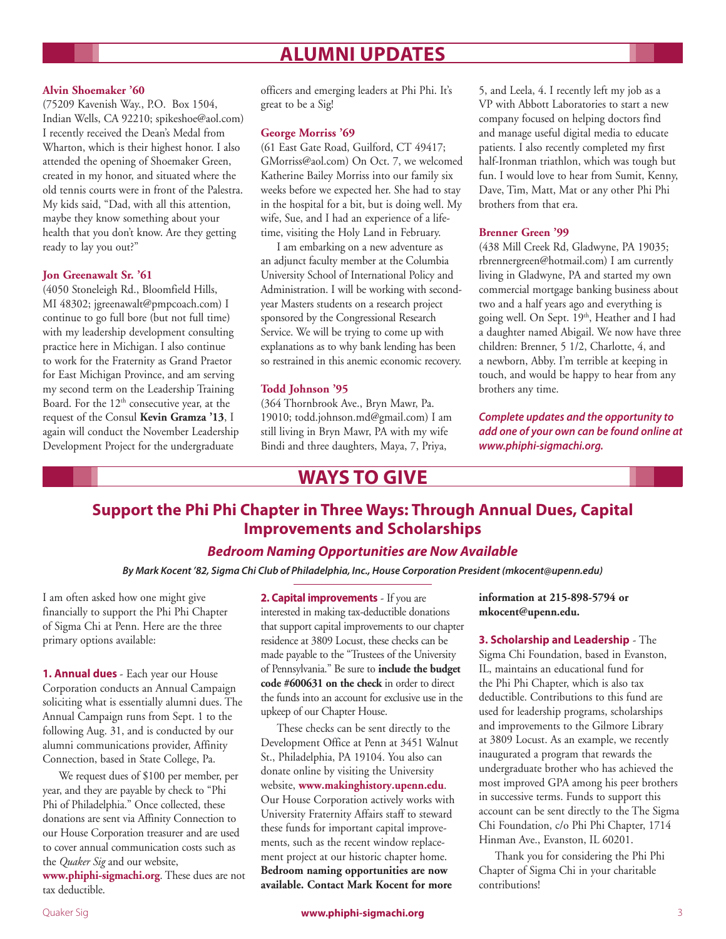# **Alumni Updates**

#### **Alvin Shoemaker '60**

(75209 Kavenish Way., P.O. Box 1504, Indian Wells, CA 92210; spikeshoe@aol.com) I recently received the Dean's Medal from Wharton, which is their highest honor. I also attended the opening of Shoemaker Green, created in my honor, and situated where the old tennis courts were in front of the Palestra. My kids said, "Dad, with all this attention, maybe they know something about your health that you don't know. Are they getting ready to lay you out?"

#### **Jon Greenawalt Sr. '61**

(4050 Stoneleigh Rd., Bloomfield Hills, MI 48302; jgreenawalt@pmpcoach.com) I continue to go full bore (but not full time) with my leadership development consulting practice here in Michigan. I also continue to work for the Fraternity as Grand Praetor for East Michigan Province, and am serving my second term on the Leadership Training Board. For the  $12<sup>th</sup>$  consecutive year, at the request of the Consul **Kevin Gramza '13**, I again will conduct the November Leadership Development Project for the undergraduate

officers and emerging leaders at Phi Phi. It's great to be a Sig!

#### **George Morriss '69**

(61 East Gate Road, Guilford, CT 49417; GMorriss@aol.com) On Oct. 7, we welcomed Katherine Bailey Morriss into our family six weeks before we expected her. She had to stay in the hospital for a bit, but is doing well. My wife, Sue, and I had an experience of a lifetime, visiting the Holy Land in February.

I am embarking on a new adventure as an adjunct faculty member at the Columbia University School of International Policy and Administration. I will be working with secondyear Masters students on a research project sponsored by the Congressional Research Service. We will be trying to come up with explanations as to why bank lending has been so restrained in this anemic economic recovery.

#### **Todd Johnson '95**

(364 Thornbrook Ave., Bryn Mawr, Pa. 19010; todd.johnson.md@gmail.com) I am still living in Bryn Mawr, PA with my wife Bindi and three daughters, Maya, 7, Priya,

5, and Leela, 4. I recently left my job as a VP with Abbott Laboratories to start a new company focused on helping doctors find and manage useful digital media to educate patients. I also recently completed my first half-Ironman triathlon, which was tough but fun. I would love to hear from Sumit, Kenny, Dave, Tim, Matt, Mat or any other Phi Phi brothers from that era.

#### **Brenner Green '99**

(438 Mill Creek Rd, Gladwyne, PA 19035; rbrennergreen@hotmail.com) I am currently living in Gladwyne, PA and started my own commercial mortgage banking business about two and a half years ago and everything is going well. On Sept. 19th, Heather and I had a daughter named Abigail. We now have three children: Brenner, 5 1/2, Charlotte, 4, and a newborn, Abby. I'm terrible at keeping in touch, and would be happy to hear from any brothers any time.

*Complete updates and the opportunity to add one of your own can be found online at www.phiphi-sigmachi.org.*

## **Ways to Give**

### **Support the Phi Phi Chapter in Three Ways: Through Annual Dues, Capital Improvements and Scholarships**

#### *Bedroom Naming Opportunities are Now Available*

*By Mark Kocent '82, Sigma Chi Club of Philadelphia, Inc., House Corporation President (mkocent@upenn.edu)*

I am often asked how one might give financially to support the Phi Phi Chapter of Sigma Chi at Penn. Here are the three primary options available:

**1. Annual dues** - Each year our House Corporation conducts an Annual Campaign soliciting what is essentially alumni dues. The Annual Campaign runs from Sept. 1 to the following Aug. 31, and is conducted by our alumni communications provider, Affinity Connection, based in State College, Pa.

We request dues of \$100 per member, per year, and they are payable by check to "Phi Phi of Philadelphia." Once collected, these donations are sent via Affinity Connection to our House Corporation treasurer and are used to cover annual communication costs such as the *Quaker Sig* and our website, **www.phiphi-sigmachi.org**. These dues are not tax deductible.

**2. Capital improvements** - If you are interested in making tax-deductible donations that support capital improvements to our chapter residence at 3809 Locust, these checks can be made payable to the "Trustees of the University of Pennsylvania." Be sure to **include the budget code #600631 on the check** in order to direct the funds into an account for exclusive use in the upkeep of our Chapter House.

These checks can be sent directly to the Development Office at Penn at 3451 Walnut St., Philadelphia, PA 19104. You also can donate online by visiting the University website, **www.makinghistory.upenn.edu**. Our House Corporation actively works with University Fraternity Affairs staff to steward these funds for important capital improvements, such as the recent window replacement project at our historic chapter home. **Bedroom naming opportunities are now available. Contact Mark Kocent for more** 

**information at 215-898-5794 or mkocent@upenn.edu.**

**3. Scholarship and Leadership** - The Sigma Chi Foundation, based in Evanston, IL, maintains an educational fund for the Phi Phi Chapter, which is also tax deductible. Contributions to this fund are used for leadership programs, scholarships and improvements to the Gilmore Library at 3809 Locust. As an example, we recently inaugurated a program that rewards the undergraduate brother who has achieved the most improved GPA among his peer brothers in successive terms. Funds to support this account can be sent directly to the The Sigma Chi Foundation, c/o Phi Phi Chapter, 1714 Hinman Ave., Evanston, IL 60201.

Thank you for considering the Phi Phi Chapter of Sigma Chi in your charitable contributions!